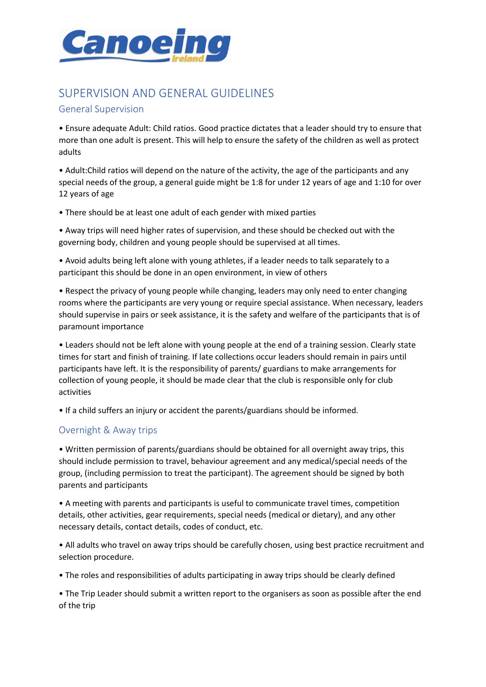

## SUPERVISION AND GENERAL GUIDELINES

## General Supervision

• Ensure adequate Adult: Child ratios. Good practice dictates that a leader should try to ensure that more than one adult is present. This will help to ensure the safety of the children as well as protect adults

• Adult:Child ratios will depend on the nature of the activity, the age of the participants and any special needs of the group, a general guide might be 1:8 for under 12 years of age and 1:10 for over 12 years of age

• There should be at least one adult of each gender with mixed parties

• Away trips will need higher rates of supervision, and these should be checked out with the governing body, children and young people should be supervised at all times.

• Avoid adults being left alone with young athletes, if a leader needs to talk separately to a participant this should be done in an open environment, in view of others

• Respect the privacy of young people while changing, leaders may only need to enter changing rooms where the participants are very young or require special assistance. When necessary, leaders should supervise in pairs or seek assistance, it is the safety and welfare of the participants that is of paramount importance

• Leaders should not be left alone with young people at the end of a training session. Clearly state times for start and finish of training. If late collections occur leaders should remain in pairs until participants have left. It is the responsibility of parents/ guardians to make arrangements for collection of young people, it should be made clear that the club is responsible only for club activities

• If a child suffers an injury or accident the parents/guardians should be informed.

## Overnight & Away trips

• Written permission of parents/guardians should be obtained for all overnight away trips, this should include permission to travel, behaviour agreement and any medical/special needs of the group, (including permission to treat the participant). The agreement should be signed by both parents and participants

• A meeting with parents and participants is useful to communicate travel times, competition details, other activities, gear requirements, special needs (medical or dietary), and any other necessary details, contact details, codes of conduct, etc.

• All adults who travel on away trips should be carefully chosen, using best practice recruitment and selection procedure.

• The roles and responsibilities of adults participating in away trips should be clearly defined

• The Trip Leader should submit a written report to the organisers as soon as possible after the end of the trip